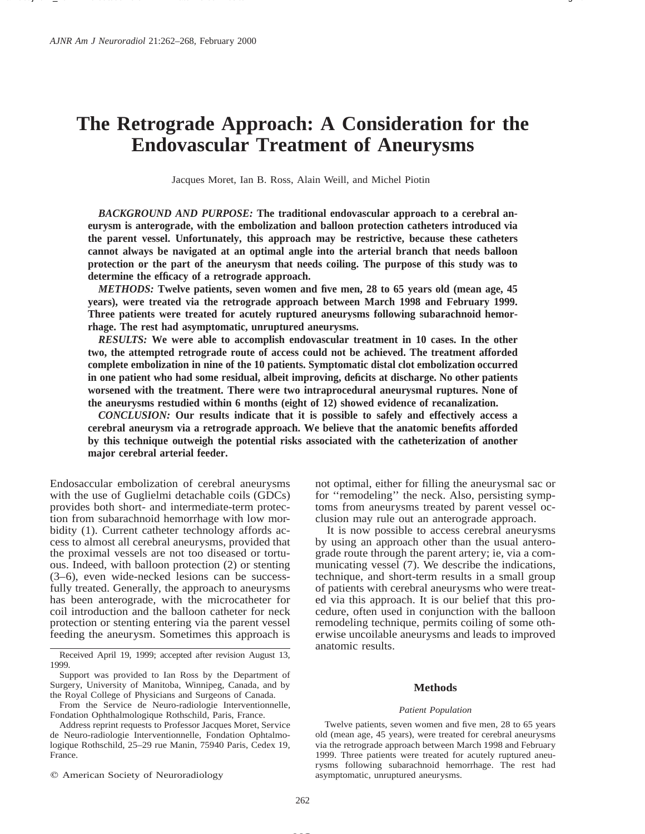# **The Retrograde Approach: A Consideration for the Endovascular Treatment of Aneurysms**

Jacques Moret, Ian B. Ross, Alain Weill, and Michel Piotin

*BACKGROUND AND PURPOSE:* **The traditional endovascular approach to a cerebral aneurysm is anterograde, with the embolization and balloon protection catheters introduced via the parent vessel. Unfortunately, this approach may be restrictive, because these catheters cannot always be navigated at an optimal angle into the arterial branch that needs balloon protection or the part of the aneurysm that needs coiling. The purpose of this study was to determine the efficacy of a retrograde approach.**

*METHODS:* **Twelve patients, seven women and five men, 28 to 65 years old (mean age, 45 years), were treated via the retrograde approach between March 1998 and February 1999. Three patients were treated for acutely ruptured aneurysms following subarachnoid hemorrhage. The rest had asymptomatic, unruptured aneurysms.**

*RESULTS:* **We were able to accomplish endovascular treatment in 10 cases. In the other two, the attempted retrograde route of access could not be achieved. The treatment afforded complete embolization in nine of the 10 patients. Symptomatic distal clot embolization occurred in one patient who had some residual, albeit improving, deficits at discharge. No other patients worsened with the treatment. There were two intraprocedural aneurysmal ruptures. None of the aneurysms restudied within 6 months (eight of 12) showed evidence of recanalization.**

*CONCLUSION:* **Our results indicate that it is possible to safely and effectively access a cerebral aneurysm via a retrograde approach. We believe that the anatomic benefits afforded by this technique outweigh the potential risks associated with the catheterization of another major cerebral arterial feeder.**

Endosaccular embolization of cerebral aneurysms with the use of Guglielmi detachable coils (GDCs) provides both short- and intermediate-term protection from subarachnoid hemorrhage with low morbidity (1). Current catheter technology affords access to almost all cerebral aneurysms, provided that the proximal vessels are not too diseased or tortuous. Indeed, with balloon protection (2) or stenting (3–6), even wide-necked lesions can be successfully treated. Generally, the approach to aneurysms has been anterograde, with the microcatheter for coil introduction and the balloon catheter for neck protection or stenting entering via the parent vessel feeding the aneurysm. Sometimes this approach is

Received April 19, 1999; accepted after revision August 13, 1999.

From the Service de Neuro-radiologie Interventionnelle, Fondation Ophthalmologique Rothschild, Paris, France.

Address reprint requests to Professor Jacques Moret, Service de Neuro-radiologie Interventionnelle, Fondation Ophtalmologique Rothschild, 25–29 rue Manin, 75940 Paris, Cedex 19, France.

 $Q$  American Society of Neuroradiology

not optimal, either for filling the aneurysmal sac or for ''remodeling'' the neck. Also, persisting symptoms from aneurysms treated by parent vessel occlusion may rule out an anterograde approach.

It is now possible to access cerebral aneurysms by using an approach other than the usual anterograde route through the parent artery; ie, via a communicating vessel (7). We describe the indications, technique, and short-term results in a small group of patients with cerebral aneurysms who were treated via this approach. It is our belief that this procedure, often used in conjunction with the balloon remodeling technique, permits coiling of some otherwise uncoilable aneurysms and leads to improved anatomic results.

#### **Methods**

#### *Patient Population*

Twelve patients, seven women and five men, 28 to 65 years old (mean age, 45 years), were treated for cerebral aneurysms via the retrograde approach between March 1998 and February 1999. Three patients were treated for acutely ruptured aneurysms following subarachnoid hemorrhage. The rest had asymptomatic, unruptured aneurysms.

Support was provided to Ian Ross by the Department of Surgery, University of Manitoba, Winnipeg, Canada, and by the Royal College of Physicians and Surgeons of Canada.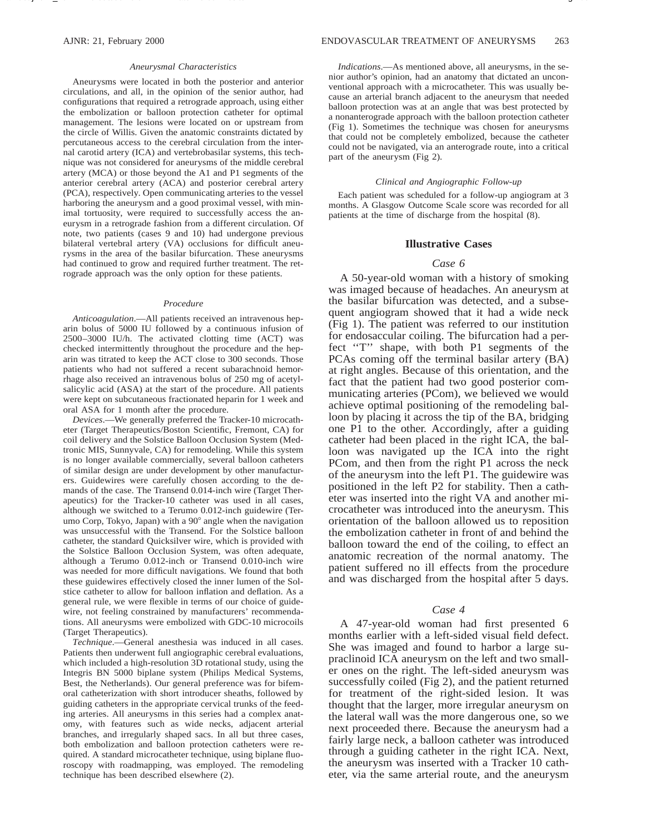#### *Aneurysmal Characteristics*

Aneurysms were located in both the posterior and anterior circulations, and all, in the opinion of the senior author, had configurations that required a retrograde approach, using either the embolization or balloon protection catheter for optimal management. The lesions were located on or upstream from the circle of Willis. Given the anatomic constraints dictated by percutaneous access to the cerebral circulation from the internal carotid artery (ICA) and vertebrobasilar systems, this technique was not considered for aneurysms of the middle cerebral artery (MCA) or those beyond the A1 and P1 segments of the anterior cerebral artery (ACA) and posterior cerebral artery (PCA), respectively. Open communicating arteries to the vessel harboring the aneurysm and a good proximal vessel, with minimal tortuosity, were required to successfully access the aneurysm in a retrograde fashion from a different circulation. Of note, two patients (cases 9 and 10) had undergone previous bilateral vertebral artery (VA) occlusions for difficult aneurysms in the area of the basilar bifurcation. These aneurysms had continued to grow and required further treatment. The retrograde approach was the only option for these patients.

#### *Procedure*

*Anticoagulation*.—All patients received an intravenous heparin bolus of 5000 IU followed by a continuous infusion of 2500–3000 IU/h. The activated clotting time (ACT) was checked intermittently throughout the procedure and the heparin was titrated to keep the ACT close to 300 seconds. Those patients who had not suffered a recent subarachnoid hemorrhage also received an intravenous bolus of 250 mg of acetylsalicylic acid (ASA) at the start of the procedure. All patients were kept on subcutaneous fractionated heparin for 1 week and oral ASA for 1 month after the procedure.

*Devices*.—We generally preferred the Tracker-10 microcatheter (Target Therapeutics/Boston Scientific, Fremont, CA) for coil delivery and the Solstice Balloon Occlusion System (Medtronic MIS, Sunnyvale, CA) for remodeling. While this system is no longer available commercially, several balloon catheters of similar design are under development by other manufacturers. Guidewires were carefully chosen according to the demands of the case. The Transend 0.014-inch wire (Target Therapeutics) for the Tracker-10 catheter was used in all cases, although we switched to a Terumo 0.012-inch guidewire (Terumo Corp, Tokyo, Japan) with a 90° angle when the navigation was unsuccessful with the Transend. For the Solstice balloon catheter, the standard Quicksilver wire, which is provided with the Solstice Balloon Occlusion System, was often adequate, although a Terumo 0.012-inch or Transend 0.010-inch wire was needed for more difficult navigations. We found that both these guidewires effectively closed the inner lumen of the Solstice catheter to allow for balloon inflation and deflation. As a general rule, we were flexible in terms of our choice of guidewire, not feeling constrained by manufacturers' recommendations. All aneurysms were embolized with GDC-10 microcoils (Target Therapeutics).

*Technique*.—General anesthesia was induced in all cases. Patients then underwent full angiographic cerebral evaluations, which included a high-resolution 3D rotational study, using the Integris BN 5000 biplane system (Philips Medical Systems, Best, the Netherlands). Our general preference was for bifemoral catheterization with short introducer sheaths, followed by guiding catheters in the appropriate cervical trunks of the feeding arteries. All aneurysms in this series had a complex anatomy, with features such as wide necks, adjacent arterial branches, and irregularly shaped sacs. In all but three cases, both embolization and balloon protection catheters were required. A standard microcatheter technique, using biplane fluoroscopy with roadmapping, was employed. The remodeling technique has been described elsewhere (2).

*Indications*.—As mentioned above, all aneurysms, in the senior author's opinion, had an anatomy that dictated an unconventional approach with a microcatheter. This was usually because an arterial branch adjacent to the aneurysm that needed balloon protection was at an angle that was best protected by a nonanterograde approach with the balloon protection catheter (Fig 1). Sometimes the technique was chosen for aneurysms that could not be completely embolized, because the catheter could not be navigated, via an anterograde route, into a critical part of the aneurysm (Fig 2).

#### *Clinical and Angiographic Follow-up*

Each patient was scheduled for a follow-up angiogram at 3 months. A Glasgow Outcome Scale score was recorded for all patients at the time of discharge from the hospital (8).

### **Illustrative Cases**

### *Case 6*

A 50-year-old woman with a history of smoking was imaged because of headaches. An aneurysm at the basilar bifurcation was detected, and a subsequent angiogram showed that it had a wide neck (Fig 1). The patient was referred to our institution for endosaccular coiling. The bifurcation had a perfect ''T'' shape, with both P1 segments of the PCAs coming off the terminal basilar artery (BA) at right angles. Because of this orientation, and the fact that the patient had two good posterior communicating arteries (PCom), we believed we would achieve optimal positioning of the remodeling balloon by placing it across the tip of the BA, bridging one P1 to the other. Accordingly, after a guiding catheter had been placed in the right ICA, the balloon was navigated up the ICA into the right PCom, and then from the right P1 across the neck of the aneurysm into the left P1. The guidewire was positioned in the left P2 for stability. Then a catheter was inserted into the right VA and another microcatheter was introduced into the aneurysm. This orientation of the balloon allowed us to reposition the embolization catheter in front of and behind the balloon toward the end of the coiling, to effect an anatomic recreation of the normal anatomy. The patient suffered no ill effects from the procedure and was discharged from the hospital after 5 days.

# *Case 4*

A 47-year-old woman had first presented 6 months earlier with a left-sided visual field defect. She was imaged and found to harbor a large supraclinoid ICA aneurysm on the left and two smaller ones on the right. The left-sided aneurysm was successfully coiled (Fig 2), and the patient returned for treatment of the right-sided lesion. It was thought that the larger, more irregular aneurysm on the lateral wall was the more dangerous one, so we next proceeded there. Because the aneurysm had a fairly large neck, a balloon catheter was introduced through a guiding catheter in the right ICA. Next, the aneurysm was inserted with a Tracker 10 catheter, via the same arterial route, and the aneurysm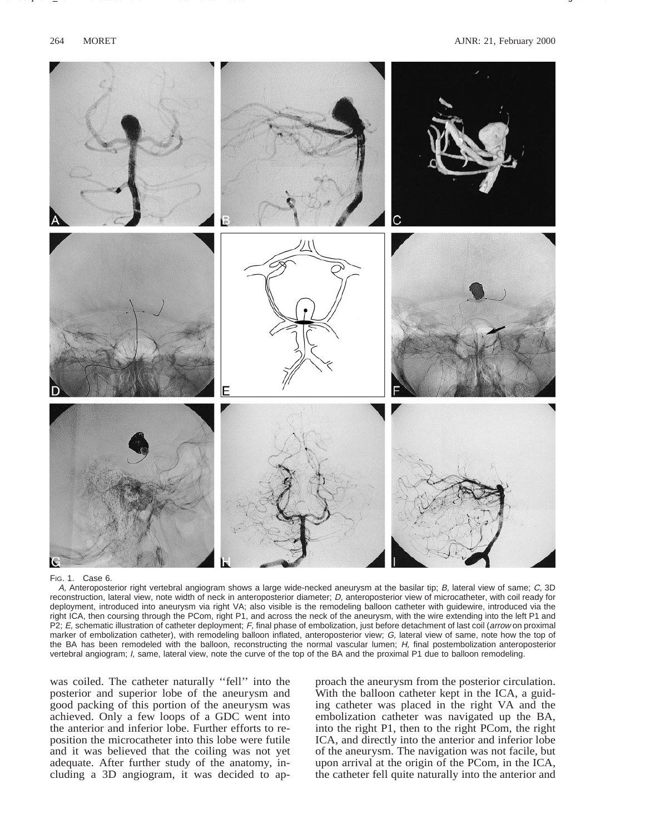

Name /ajnr/21\_102 02/03/00 10:04AM Plate # 0 com osite g 264 # 3

FIG. 1. Case 6.

A, Anteroposterior right vertebral angiogram shows a large wide-necked aneurysm at the basilar tip; B, lateral view of same; C, 3D reconstruction, lateral view, note width of neck in anteroposterior diameter; D, anteroposterior view of microcatheter, with coil ready for deployment, introduced into aneurysm via right VA; also visible is the remodeling balloon catheter with guidewire, introduced via the right ICA, then coursing through the PCom, right P1, and across the neck of the aneurysm, with the wire extending into the left P1 and P2; E, schematic illustration of catheter deployment; F, final phase of embolization, just before detachment of last coil (arrow on proximal marker of embolization catheter), with remodeling balloon inflated, anteroposterior view; G, lateral view of same, note how the top of the BA has been remodeled with the balloon, reconstructing the normal vascular lumen; H, final postembolization anteroposterior vertebral angiogram; I, same, lateral view, note the curve of the top of the BA and the proximal P1 due to balloon remodeling.

was coiled. The catheter naturally "fell" into the posterior and superior lobe of the aneurysm and good packing of this portion of the aneurysm was achieved. Only a few loops of a GDC went into the anterior and inferior lobe. Further efforts to reposition the microcatheter into this lobe were futile and it was believed that the coiling was not yet adequate. After further study of the anatomy, including a 3D angiogram, it was decided to approach the aneurysm from the posterior circulation. With the balloon catheter kept in the ICA, a guiding catheter was placed in the right VA and the embolization catheter was navigated up the BA, into the right P1, then to the right PCom, the right ICA, and directly into the anterior and inferior lobe of the aneurysm. The navigation was not facile, but upon arrival at the origin of the PCom, in the ICA, the catheter fell quite naturally into the anterior and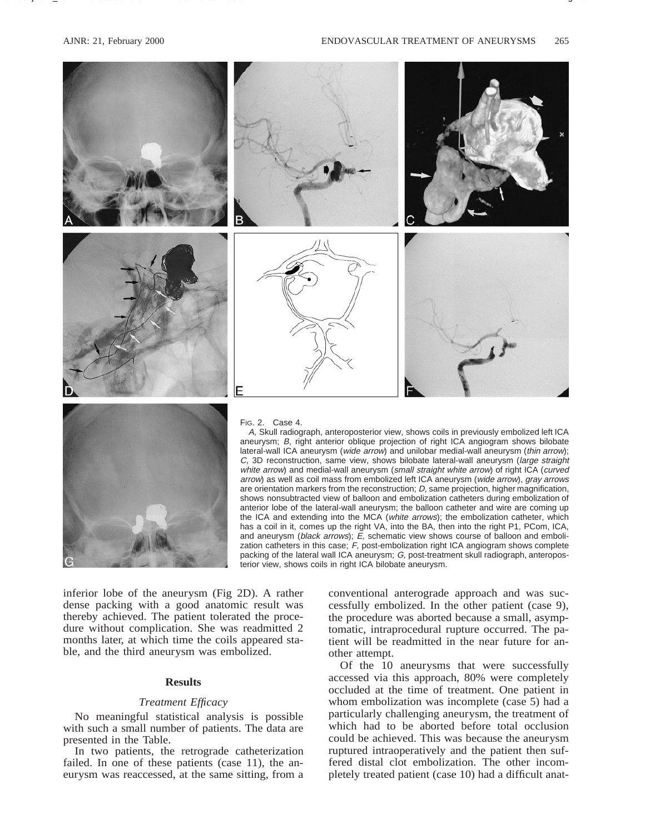

Name /ajnr/21\_102 02/03/00 10:04AM Plate # 0 com osite g 265 # 4

arrow) as well as coil mass from embolized left ICA aneurysm (wide arrow), gray arrows are orientation markers from the reconstruction; D, same projection, higher magnification, shows nonsubtracted view of balloon and embolization catheters during embolization of anterior lobe of the lateral-wall aneurysm; the balloon catheter and wire are coming up the ICA and extending into the MCA (white arrows); the embolization catheter, which has a coil in it, comes up the right VA, into the BA, then into the right P1, PCom, ICA, and aneurysm (black arrows); E, schematic view shows course of balloon and embolization catheters in this case;  $F$ , post-embolization right ICA angiogram shows complete packing of the lateral wall ICA aneurysm; G, post-treatment skull radiograph, anteroposterior view, shows coils in right ICA bilobate aneurysm.

inferior lobe of the aneurysm (Fig 2D). A rather dense packing with a good anatomic result was thereby achieved. The patient tolerated the procedure without complication. She was readmitted 2 months later, at which time the coils appeared stable, and the third aneurysm was embolized.

# **Results**

# *Treatment Efficacy*

No meaningful statistical analysis is possible with such a small number of patients. The data are presented in the Table.

In two patients, the retrograde catheterization failed. In one of these patients (case 11), the aneurysm was reaccessed, at the same sitting, from a

conventional anterograde approach and was successfully embolized. In the other patient (case 9), the procedure was aborted because a small, asymptomatic, intraprocedural rupture occurred. The patient will be readmitted in the near future for another attempt.

Of the 10 aneurysms that were successfully accessed via this approach, 80% were completely occluded at the time of treatment. One patient in whom embolization was incomplete (case 5) had a particularly challenging aneurysm, the treatment of which had to be aborted before total occlusion could be achieved. This was because the aneurysm ruptured intraoperatively and the patient then suffered distal clot embolization. The other incompletely treated patient (case 10) had a difficult anat-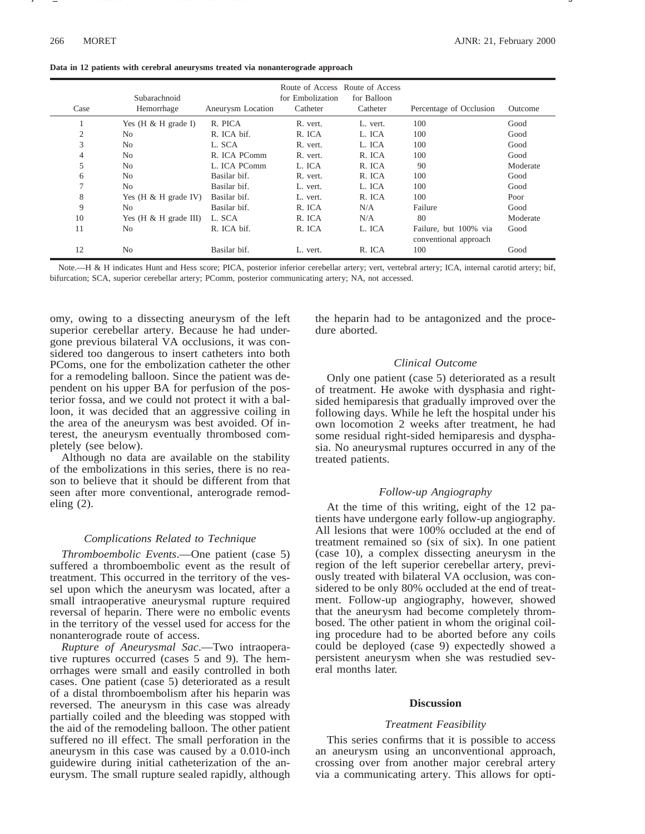|  |  |  |  | Data in 12 patients with cerebral aneurysms treated via nonanterograde approach |
|--|--|--|--|---------------------------------------------------------------------------------|
|  |  |  |  |                                                                                 |

| Case           | Subarachnoid<br>Hemorrhage      | Aneurysm Location | for Embolization<br>Catheter | Route of Access Route of Access<br>for Balloon<br>Catheter | Percentage of Occlusion | Outcome  |
|----------------|---------------------------------|-------------------|------------------------------|------------------------------------------------------------|-------------------------|----------|
|                | Yes $(H & H \text{ grade } I)$  | R. PICA           | R. vert.                     | L. vert.                                                   | 100                     | Good     |
| $\overline{2}$ | N <sub>0</sub>                  | R. ICA bif.       | R. ICA                       | L. ICA                                                     | 100                     | Good     |
| 3              | N <sub>0</sub>                  | L. SCA            | R. vert.                     | L. ICA                                                     | 100                     | Good     |
| 4              | N <sub>o</sub>                  | R. ICA PComm      | R. vert.                     | R. ICA                                                     | 100                     | Good     |
| 5              | N <sub>0</sub>                  | L. ICA PComm      | L. ICA                       | R. ICA                                                     | 90                      | Moderate |
| 6              | N <sub>0</sub>                  | Basilar bif.      | R. vert.                     | R. ICA                                                     | 100                     | Good     |
| $\overline{ }$ | N <sub>o</sub>                  | Basilar bif.      | L. vert.                     | L. ICA                                                     | 100                     | Good     |
| 8              | Yes $(H & H$ grade IV)          | Basilar bif.      | L. vert.                     | R. ICA                                                     | 100                     | Poor     |
| 9              | N <sub>0</sub>                  | Basilar bif.      | R. ICA                       | N/A                                                        | Failure                 | Good     |
| 10             | Yes $(H & H \text{ grade III})$ | L. SCA            | R. ICA                       | N/A                                                        | 80                      | Moderate |
| 11             | N <sub>o</sub>                  | R. ICA bif.       | R. ICA                       | L. ICA                                                     | Failure, but 100% via   | Good     |
|                |                                 |                   |                              |                                                            | conventional approach   |          |
| 12             | N <sub>0</sub>                  | Basilar bif.      | L. vert.                     | R. ICA                                                     | 100                     | Good     |

Name /ajnr/21\_102 02/03/00 10:04AM Plate # 0 com osite g 266 # 5

Note.—H & H indicates Hunt and Hess score; PICA, posterior inferior cerebellar artery; vert, vertebral artery; ICA, internal carotid artery; bif, bifurcation; SCA, superior cerebellar artery; PComm, posterior communicating artery; NA, not accessed.

omy, owing to a dissecting aneurysm of the left superior cerebellar artery. Because he had undergone previous bilateral VA occlusions, it was considered too dangerous to insert catheters into both PComs, one for the embolization catheter the other for a remodeling balloon. Since the patient was dependent on his upper BA for perfusion of the posterior fossa, and we could not protect it with a balloon, it was decided that an aggressive coiling in the area of the aneurysm was best avoided. Of interest, the aneurysm eventually thrombosed completely (see below).

Although no data are available on the stability of the embolizations in this series, there is no reason to believe that it should be different from that seen after more conventional, anterograde remodeling (2).

## *Complications Related to Technique*

*Thromboembolic Events*.—One patient (case 5) suffered a thromboembolic event as the result of treatment. This occurred in the territory of the vessel upon which the aneurysm was located, after a small intraoperative aneurysmal rupture required reversal of heparin. There were no embolic events in the territory of the vessel used for access for the nonanterograde route of access.

*Rupture of Aneurysmal Sac*.—Two intraoperative ruptures occurred (cases 5 and 9). The hemorrhages were small and easily controlled in both cases. One patient (case 5) deteriorated as a result of a distal thromboembolism after his heparin was reversed. The aneurysm in this case was already partially coiled and the bleeding was stopped with the aid of the remodeling balloon. The other patient suffered no ill effect. The small perforation in the aneurysm in this case was caused by a 0.010-inch guidewire during initial catheterization of the aneurysm. The small rupture sealed rapidly, although

the heparin had to be antagonized and the procedure aborted.

#### *Clinical Outcome*

Only one patient (case 5) deteriorated as a result of treatment. He awoke with dysphasia and rightsided hemiparesis that gradually improved over the following days. While he left the hospital under his own locomotion 2 weeks after treatment, he had some residual right-sided hemiparesis and dysphasia. No aneurysmal ruptures occurred in any of the treated patients.

#### *Follow-up Angiography*

At the time of this writing, eight of the 12 patients have undergone early follow-up angiography. All lesions that were 100% occluded at the end of treatment remained so (six of six). In one patient (case 10), a complex dissecting aneurysm in the region of the left superior cerebellar artery, previously treated with bilateral VA occlusion, was considered to be only 80% occluded at the end of treatment. Follow-up angiography, however, showed that the aneurysm had become completely thrombosed. The other patient in whom the original coiling procedure had to be aborted before any coils could be deployed (case 9) expectedly showed a persistent aneurysm when she was restudied several months later.

#### **Discussion**

#### *Treatment Feasibility*

This series confirms that it is possible to access an aneurysm using an unconventional approach, crossing over from another major cerebral artery via a communicating artery. This allows for opti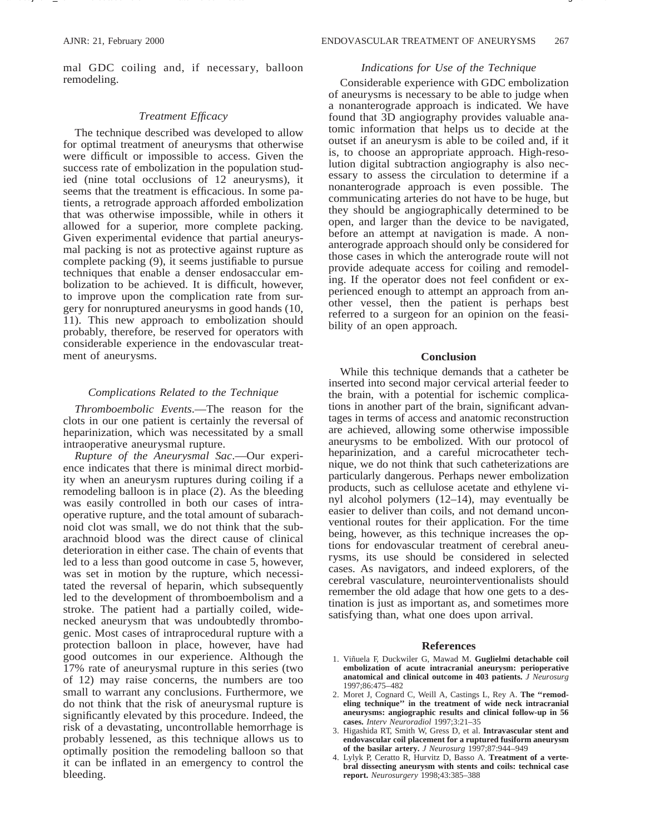mal GDC coiling and, if necessary, balloon remodeling.

Name /ajnr/21\_102 02/03/00 10:04AM Plate # 0 com osite g 267 # 6

#### *Treatment Efficacy*

The technique described was developed to allow for optimal treatment of aneurysms that otherwise were difficult or impossible to access. Given the success rate of embolization in the population studied (nine total occlusions of 12 aneurysms), it seems that the treatment is efficacious. In some patients, a retrograde approach afforded embolization that was otherwise impossible, while in others it allowed for a superior, more complete packing. Given experimental evidence that partial aneurysmal packing is not as protective against rupture as complete packing (9), it seems justifiable to pursue techniques that enable a denser endosaccular embolization to be achieved. It is difficult, however, to improve upon the complication rate from surgery for nonruptured aneurysms in good hands (10, 11). This new approach to embolization should probably, therefore, be reserved for operators with considerable experience in the endovascular treatment of aneurysms.

#### *Complications Related to the Technique*

*Thromboembolic Events*.—The reason for the clots in our one patient is certainly the reversal of heparinization, which was necessitated by a small intraoperative aneurysmal rupture.

*Rupture of the Aneurysmal Sac*.—Our experience indicates that there is minimal direct morbidity when an aneurysm ruptures during coiling if a remodeling balloon is in place (2). As the bleeding was easily controlled in both our cases of intraoperative rupture, and the total amount of subarachnoid clot was small, we do not think that the subarachnoid blood was the direct cause of clinical deterioration in either case. The chain of events that led to a less than good outcome in case 5, however, was set in motion by the rupture, which necessitated the reversal of heparin, which subsequently led to the development of thromboembolism and a stroke. The patient had a partially coiled, widenecked aneurysm that was undoubtedly thrombogenic. Most cases of intraprocedural rupture with a protection balloon in place, however, have had good outcomes in our experience. Although the 17% rate of aneurysmal rupture in this series (two of 12) may raise concerns, the numbers are too small to warrant any conclusions. Furthermore, we do not think that the risk of aneurysmal rupture is significantly elevated by this procedure. Indeed, the risk of a devastating, uncontrollable hemorrhage is probably lessened, as this technique allows us to optimally position the remodeling balloon so that it can be inflated in an emergency to control the bleeding.

#### *Indications for Use of the Technique*

Considerable experience with GDC embolization of aneurysms is necessary to be able to judge when a nonanterograde approach is indicated. We have found that 3D angiography provides valuable anatomic information that helps us to decide at the outset if an aneurysm is able to be coiled and, if it is, to choose an appropriate approach. High-resolution digital subtraction angiography is also necessary to assess the circulation to determine if a nonanterograde approach is even possible. The communicating arteries do not have to be huge, but they should be angiographically determined to be open, and larger than the device to be navigated, before an attempt at navigation is made. A nonanterograde approach should only be considered for those cases in which the anterograde route will not provide adequate access for coiling and remodeling. If the operator does not feel confident or experienced enough to attempt an approach from another vessel, then the patient is perhaps best referred to a surgeon for an opinion on the feasibility of an open approach.

### **Conclusion**

While this technique demands that a catheter be inserted into second major cervical arterial feeder to the brain, with a potential for ischemic complications in another part of the brain, significant advantages in terms of access and anatomic reconstruction are achieved, allowing some otherwise impossible aneurysms to be embolized. With our protocol of heparinization, and a careful microcatheter technique, we do not think that such catheterizations are particularly dangerous. Perhaps newer embolization products, such as cellulose acetate and ethylene vinyl alcohol polymers (12–14), may eventually be easier to deliver than coils, and not demand unconventional routes for their application. For the time being, however, as this technique increases the options for endovascular treatment of cerebral aneurysms, its use should be considered in selected cases. As navigators, and indeed explorers, of the cerebral vasculature, neurointerventionalists should remember the old adage that how one gets to a destination is just as important as, and sometimes more satisfying than, what one does upon arrival.

#### **References**

- 1. Viñuela F, Duckwiler G, Mawad M. Guglielmi detachable coil **embolization of acute intracranial aneurysm: perioperative anatomical and clinical outcome in 403 patients.** *J Neurosurg* 1997;86:475–482
- 2. Moret J, Cognard C, Weill A, Castings L, Rey A. **The ''remodeling technique'' in the treatment of wide neck intracranial aneurysms: angiographic results and clinical follow-up in 56 cases.** *Interv Neuroradiol* 1997;3:21–35
- 3. Higashida RT, Smith W, Gress D, et al. **Intravascular stent and endovascular coil placement for a ruptured fusiform aneurysm of the basilar artery.** *J Neurosurg* 1997;87:944–949
- 4. Lylyk P, Ceratto R, Hurvitz D, Basso A. **Treatment of a vertebral dissecting aneurysm with stents and coils: technical case report.** *Neurosurgery* 1998;43:385–388